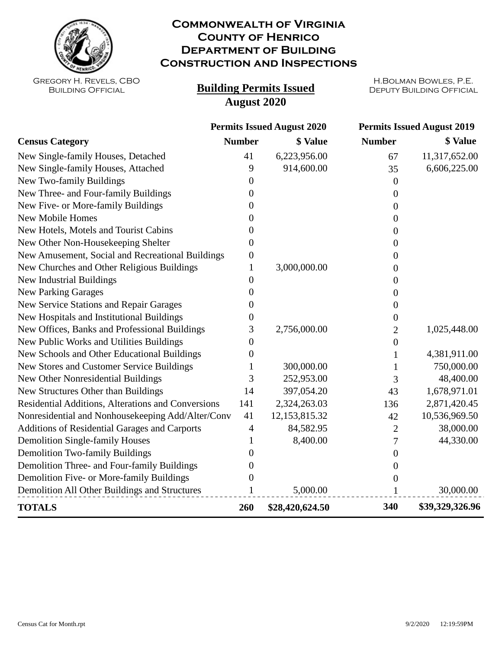

## **Commonwealth of Virginia County of Henrico Department of Building Construction and Inspections**

Gregory H. Revels, CBO Building Official

## **Building Permits Issued August 2020**

H.Bolman Bowles, P.E.

|                                                    | <b>Permits Issued August 2020</b> |                 | <b>Permits Issued August 2019</b> |                 |
|----------------------------------------------------|-----------------------------------|-----------------|-----------------------------------|-----------------|
| <b>Census Category</b>                             | <b>Number</b>                     | \$ Value        | <b>Number</b>                     | \$ Value        |
| New Single-family Houses, Detached                 | 41                                | 6,223,956.00    | 67                                | 11,317,652.00   |
| New Single-family Houses, Attached                 | 9                                 | 914,600.00      | 35                                | 6,606,225.00    |
| New Two-family Buildings                           | 0                                 |                 | $\overline{0}$                    |                 |
| New Three- and Four-family Buildings               | 0                                 |                 | $\theta$                          |                 |
| New Five- or More-family Buildings                 | 0                                 |                 | $\boldsymbol{0}$                  |                 |
| <b>New Mobile Homes</b>                            | $\theta$                          |                 | $\Omega$                          |                 |
| New Hotels, Motels and Tourist Cabins              | 0                                 |                 | 0                                 |                 |
| New Other Non-Housekeeping Shelter                 | 0                                 |                 | 0                                 |                 |
| New Amusement, Social and Recreational Buildings   | 0                                 |                 | 0                                 |                 |
| New Churches and Other Religious Buildings         | 1                                 | 3,000,000.00    | 0                                 |                 |
| New Industrial Buildings                           | 0                                 |                 | 0                                 |                 |
| <b>New Parking Garages</b>                         | 0                                 |                 | 0                                 |                 |
| <b>New Service Stations and Repair Garages</b>     | 0                                 |                 | 0                                 |                 |
| New Hospitals and Institutional Buildings          | 0                                 |                 | $\theta$                          |                 |
| New Offices, Banks and Professional Buildings      | 3                                 | 2,756,000.00    | 2                                 | 1,025,448.00    |
| New Public Works and Utilities Buildings           | 0                                 |                 | $\boldsymbol{0}$                  |                 |
| New Schools and Other Educational Buildings        | 0                                 |                 | 1                                 | 4,381,911.00    |
| New Stores and Customer Service Buildings          |                                   | 300,000.00      |                                   | 750,000.00      |
| New Other Nonresidential Buildings                 | 3                                 | 252,953.00      | 3                                 | 48,400.00       |
| New Structures Other than Buildings                | 14                                | 397,054.20      | 43                                | 1,678,971.01    |
| Residential Additions, Alterations and Conversions | 141                               | 2,324,263.03    | 136                               | 2,871,420.45    |
| Nonresidential and Nonhousekeeping Add/Alter/Conv  | 41                                | 12,153,815.32   | 42                                | 10,536,969.50   |
| Additions of Residential Garages and Carports      | 4                                 | 84,582.95       | $\overline{c}$                    | 38,000.00       |
| <b>Demolition Single-family Houses</b>             |                                   | 8,400.00        | 7                                 | 44,330.00       |
| <b>Demolition Two-family Buildings</b>             | 0                                 |                 | $\boldsymbol{0}$                  |                 |
| Demolition Three- and Four-family Buildings        | 0                                 |                 | $\boldsymbol{0}$                  |                 |
| Demolition Five- or More-family Buildings          | 0                                 |                 | 0                                 |                 |
| Demolition All Other Buildings and Structures      | $\mathbf{1}$                      | 5,000.00        | 1                                 | 30,000.00       |
| <b>TOTALS</b>                                      | 260                               | \$28,420,624.50 | 340                               | \$39,329,326.96 |